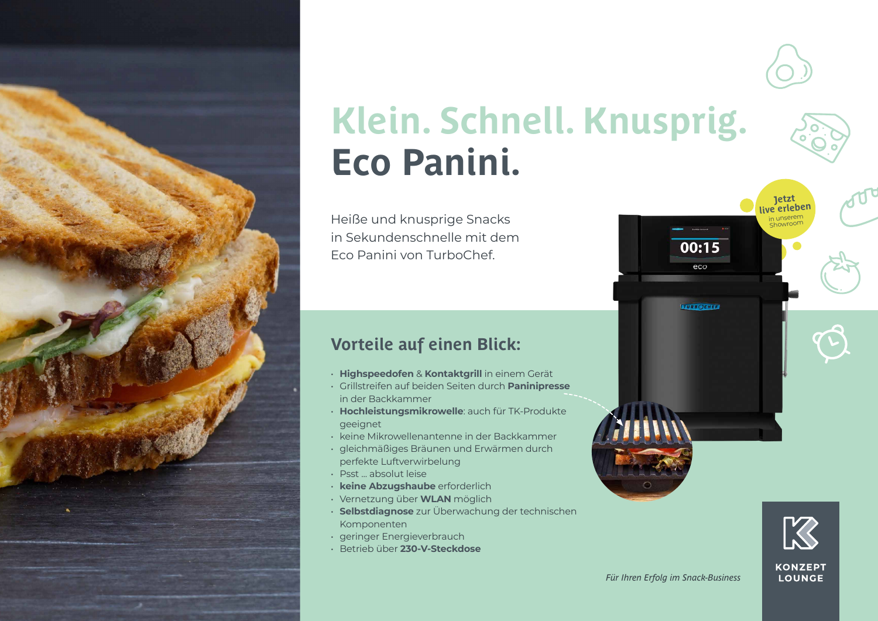

# **Klein. Schnell. Knusprig. Eco Panini.**

Heiße und knusprige Snacks in Sekundenschnelle mit dem Eco Panini von TurboChef.

# **Vorteile auf einen Blick:**

- **Highspeedofen** & **Kontaktgrill** in einem Gerät
- Grillstreifen auf beiden Seiten durch **Paninipresse** in der Backkammer
- **Hochleistungsmikrowelle**: auch für TK-Produkte geeignet
- keine Mikrowellenantenne in der Backkammer
- gleichmäßiges Bräunen und Erwärmen durch perfekte Luftverwirbelung
- Psst ... absolut leise
- **keine Abzugshaube** erforderlich
- Vernetzung über **WLAN** möglich
- **Selbstdiagnose** zur Überwachung der technischen Komponenten
- geringer Energieverbrauch
- Betrieb über **230-V-Steckdose**



**Jetzt live erleben** inserer Showroom

 $00:15$  $eco$ 

**TURBOCHEF!**